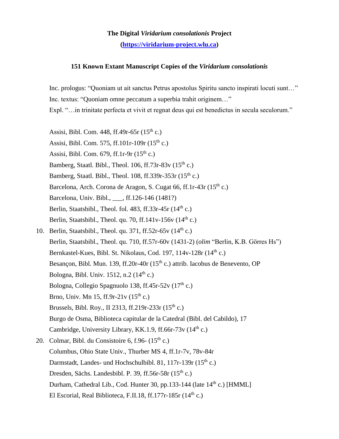**The Digital** *Viridarium consolationis* **Project [\(https://viridarium-project.wlu.ca\)](https://viridarium-project.wlu.ca/)**

## **151 Known Extant Manuscript Copies of the** *Viridarium consolationis*

Inc. prologus: "Quoniam ut ait sanctus Petrus apostolus Spiritu sancto inspirati locuti sunt…" Inc. textus: "Quoniam omne peccatum a superbia trahit originem…"

Expl. "…in trinitate perfecta et vivit et regnat deus qui est benedictus in secula seculorum."

- Assisi, Bibl. Com.  $448$ , ff.  $49r 65r (15<sup>th</sup> c.)$
- Assisi, Bibl. Com. 575, ff.101r-109r  $(15^{th} c)$ .
- Assisi, Bibl. Com. 679, ff.1r-9r  $(15<sup>th</sup> c.)$
- Bamberg, Staatl. Bibl., Theol. 106, ff.73r-83v  $(15<sup>th</sup> c.)$
- Bamberg, Staatl. Bibl., Theol. 108, ff.339r-353r (15th c.)
- Barcelona, Arch. Corona de Aragon, S. Cugat 66, ff.1r-43r  $(15<sup>th</sup> c.)$
- Barcelona, Univ. Bibl., \_\_\_, ff.126-146 (1481?)
- Berlin, Staatsbibl., Theol. fol. 483, ff.33r-45r  $(14<sup>th</sup> c.)$
- Berlin, Staatsbibl., Theol. qu. 70, ff.141v-156v  $(14<sup>th</sup> c.)$
- 10. Berlin, Staatsbibl., Theol. qu. 371, ff.52r-65y  $(14<sup>th</sup> c.)$ Berlin, Staatsbibl., Theol. qu. 710, ff.57r-60v (1431-2) (*olim* "Berlin, K.B. Görres Hs") Bernkastel-Kues, Bibl. St. Nikolaus, Cod. 197, 114v-128r (14<sup>th</sup> c.) Besancon, Bibl. Mun. 139, ff.20r-40r (15<sup>th</sup> c.) attrib. Iacobus de Benevento, OP Bologna, Bibl. Univ.  $1512$ , n.2  $(14<sup>th</sup>$  c.) Bologna, Collegio Spagnuolo 138, ff.45r-52v  $(17<sup>th</sup> c.)$ Brno, Univ. Mn 15, ff.9r-21y  $(15^{th} c)$ . Brussels, Bibl. Roy., II 2313, ff.219r-233r  $(15^{th} c.)$ Burgo de Osma, Biblioteca capitular de la Catedral (Bibl. del Cabildo), 17 Cambridge, University Library, KK.1.9, ff.66r-73v (14th c.) 20. Colmar, Bibl. du Consistoire  $6, f.96-(15<sup>th</sup> c.)$
- Columbus, Ohio State Univ., Thurber MS 4, ff.1r-7v, 78v-84r Darmstadt, Landes- und Hochschulbibl. 81, 117r-139r  $(15<sup>th</sup> c.)$ Dresden, Sächs. Landesbibl. P. 39, ff.56r-58r  $(15<sup>th</sup> c.)$ Durham, Cathedral Lib., Cod. Hunter 30, pp.133-144 (late 14<sup>th</sup> c.) [HMML] El Escorial, Real Biblioteca, F.II.18, ff.177r-185r  $(14<sup>th</sup> c.)$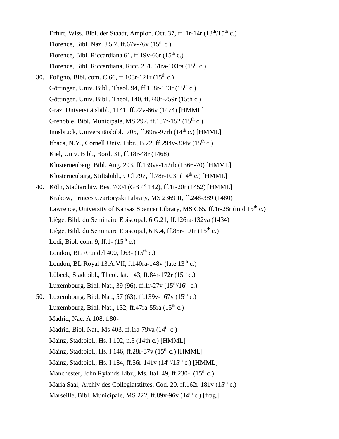Erfurt, Wiss. Bibl. der Staadt, Amplon. Oct. 37, ff. 1r-14r  $(13<sup>th</sup>/15<sup>th</sup> c.)$ Florence, Bibl. Naz. J.5.7, ff.67v-76v  $(15<sup>th</sup> c.)$ Florence, Bibl. Riccardiana 61, ff.19v-66r  $(15<sup>th</sup> c.)$ Florence, Bibl. Riccardiana, Ricc. 251, 61ra-103ra (15<sup>th</sup> c.) 30. Foligno, Bibl. com. C.66, ff.103r-121r (15th c.) Göttingen, Univ. Bibl., Theol. 94, ff.  $108r - 143r(15<sup>th</sup> c.)$ Göttingen, Univ. Bibl., Theol. 140, ff.248r-259r (15th c.) Graz, Universitätsbibl., 1141, ff.22v-66v (1474) [HMML] Grenoble, Bibl. Municipale, MS 297, ff.137r-152  $(15<sup>th</sup> c.)$ Innsbruck, Universitätsbibl., 705, ff.69ra-97rb (14<sup>th</sup> c.) [HMML] Ithaca, N.Y., Cornell Univ. Libr., B.22, ff.294v-304v  $(15<sup>th</sup> c.)$ Kiel, Univ. Bibl., Bord. 31, ff.18r-48r (1468) Klosterneuberg, Bibl. Aug. 293, ff.139va-152rb (1366-70) [HMML] Klosterneuburg, Stiftsbibl., CCl 797, ff.78r-103r  $(14<sup>th</sup> c.)$  [HMML] 40. Köln, Stadtarchiv, Best 7004 (GB 4<sup>o</sup> 142), ff.1r-20r (1452) [HMML] Krakow, Princes Czartoryski Library, MS 2369 II, ff.248-389 (1480) Lawrence, University of Kansas Spencer Library, MS C65, ff.1r-28r (mid  $15<sup>th</sup>$  c.) Liège, Bibl. du Seminaire Episcopal, 6.G.21, ff.126ra-132va (1434) Liège, Bibl. du Seminaire Episcopal, 6.K.4, ff.85r-101r (15<sup>th</sup> c.) Lodi, Bibl. com. 9, ff.1- $(15<sup>th</sup> c.)$ London, BL Arundel 400, f.63- $(15<sup>th</sup> c.)$ London, BL Royal 13.A.VII,  $f.140ra-148v$  (late  $13<sup>th</sup>$  c.) Lübeck, Stadtbibl., Theol. lat. 143, ff.84r-172r  $(15<sup>th</sup> c.)$ Luxembourg, Bibl. Nat., 39 (96), ff.1r-27v ( $15<sup>th</sup>/16<sup>th</sup>$  c.) 50. Luxembourg, Bibl. Nat., 57 (63), ff.139v-167v (15th c.) Luxembourg, Bibl. Nat., 132, ff.47ra-55ra  $(15<sup>th</sup> c.)$  Madrid, Nac. A 108, f.80- Madrid, Bibl. Nat., Ms  $403$ , ff.1ra-79va  $(14<sup>th</sup> c.)$  Mainz, Stadtbibl., Hs. I 102, n.3 (14th c.) [HMML] Mainz, Stadtbibl., Hs. I 146, ff.28r-37y  $(15<sup>th</sup> c.)$  [HMML] Mainz, Stadtbibl., Hs. I 184, ff.56r-141v  $(14^{th}/15^{th} c.)$  [HMML] Manchester, John Rylands Libr., Ms. Ital. 49, ff.230- (15<sup>th</sup> c.) Maria Saal, Archiv des Collegiatstiftes, Cod. 20, ff.162r-181v ( $15<sup>th</sup>$  c.) Marseille, Bibl. Municipale, MS 222, ff.89v-96v  $(14<sup>th</sup> c.)$  [frag.]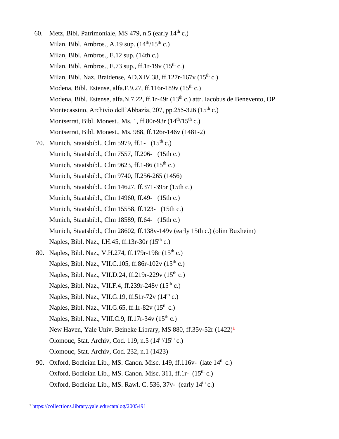- 60. Metz, Bibl. Patrimoniale, MS 479, n.5 (early  $14<sup>th</sup>$  c.) Milan, Bibl. Ambros., A.19 sup.  $(14<sup>th</sup>/15<sup>th</sup> c.)$  Milan, Bibl. Ambros., E.12 sup. (14th c.) Milan, Bibl. Ambros., E.73 sup., ff.1r-19v  $(15<sup>th</sup> c.)$ Milan, Bibl. Naz. Braidense, AD.XIV.38, ff.127r-167 $v$  (15<sup>th</sup> c.) Modena, Bibl. Estense, alfa.F.9.27, ff.116r-189v  $(15^{th} c.)$ Modena, Bibl. Estense, alfa.N.7.22, ff.1r-49r (13<sup>th</sup> c.) attr. Iacobus de Benevento, OP Montecassino, Archivio dell'Abbazia, 207, pp.255-326 (15<sup>th</sup> c.) Montserrat, Bibl. Monest., Ms. 1, ff.80r-93r  $(14<sup>th</sup>/15<sup>th</sup> c.)$ Montserrat, Bibl. Monest., Ms. 988, ff.126r-146v (1481-2) 70. Munich, Staatsbibl., Clm 5979, ff.1- $(15<sup>th</sup> c.)$ Munich, Staatsbibl., Clm 7557, ff.206- (15th c.) Munich, Staatsbibl., Clm 9623, ff.1-86  $(15<sup>th</sup> c.)$  Munich, Staatsbibl., Clm 9740, ff.256-265 (1456) Munich, Staatsbibl., Clm 14627, ff.371-395r (15th c.) Munich, Staatsbibl., Clm 14960, ff.49- (15th c.) Munich, Staatsbibl., Clm 15558, ff.123- (15th c.) Munich, Staatsbibl., Clm 18589, ff.64- (15th c.) Munich, Staatsbibl., Clm 28602, ff.138v-149v (early 15th c.) (olim Buxheim) Naples, Bibl. Naz., I.H.45, ff.13r-30r  $(15^{th} c.)$ 80. Naples, Bibl. Naz., V.H.274, ff.179r-198r (15<sup>th</sup> c.) Naples, Bibl. Naz., VII.C.105, ff.86r-102v  $(15^{th} c.)$ Naples, Bibl. Naz., VII.D.24, ff.219r-229v (15<sup>th</sup> c.) Naples, Bibl. Naz., VII.F.4, ff.239r-248v (15<sup>th</sup> c.) Naples, Bibl. Naz., VII.G.19, ff.51r-72v  $(14<sup>th</sup> c.)$ Naples, Bibl. Naz., VII.G.65, ff.1r-82v  $(15<sup>th</sup> c.)$ Naples, Bibl. Naz., VIII.C.9, ff.17r-34 $v$  (15<sup>th</sup> c.) New Haven, Yale Univ. Beineke Library, MS 880, ff.35v-52r (1422)**<sup>1</sup>** Olomouc, Stat. Archiv, Cod. 119, n.5  $(14<sup>th</sup>/15<sup>th</sup> c.)$ Olomouc, Stat. Archiv, Cod. 232, n.1 (1423) 90. Oxford, Bodleian Lib., MS. Canon. Misc. 149, ff. 116 v- (late  $14<sup>th</sup>$  c.)
	- Oxford, Bodleian Lib., MS. Canon. Misc.  $311$ , ff.1r-  $(15<sup>th</sup> c.)$ Oxford, Bodleian Lib., MS. Rawl. C. 536, 37v- (early 14<sup>th</sup> c.)

 $\overline{a}$ 

<sup>1</sup> <https://collections.library.yale.edu/catalog/2005491>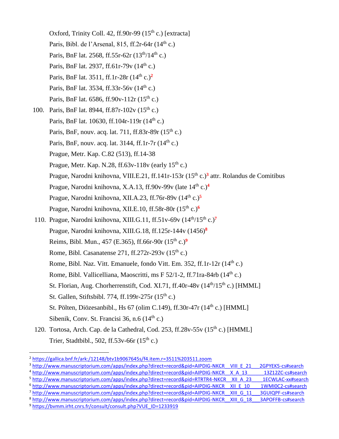- Oxford, Trinity Coll. 42, ff.90r-99  $(15<sup>th</sup> c.)$  [extracta] Paris, Bibl. de l'Arsenal, 815, ff.2r-64r  $(14<sup>th</sup> c.)$ Paris, BnF lat. 2568, ff.55r-62r  $(13^{th}/14^{th} c.)$ Paris, BnF lat. 2937, ff.61r-79v  $(14<sup>th</sup> c.)$ Paris, BnF lat. 3511, ff.1r-28r (14th c.)**<sup>2</sup>** Paris, BnF lat. 3534, ff.33r-56y  $(14^{th} c)$ . Paris, BnF lat.  $6586$ , ff.90v-112r  $(15^{th}$  c.)
- 100. Paris, BnF lat. 8944, ff.87r-102v  $(15^{th} c.)$ Paris, BnF lat. 10630, ff.104r-119r  $(14<sup>th</sup> c.)$ Paris, BnF, nouv. acq. lat. 711, ff.83r-89r  $(15<sup>th</sup> c.)$ Paris, BnF, nouv. acq. lat.  $3144$ , ff.1r-7r  $(14<sup>th</sup> c.)$ Prague, Metr. Kap. C.82 (513), ff.14-38 Prague, Metr. Kap. N.28, ff.63v-118v (early  $15<sup>th</sup>$  c.) Prague, Narodni knihovna, VIII.E.21, ff.141r-153r (15<sup>th</sup> c.)<sup>3</sup> attr. Rolandus de Comitibus Prague, Narodni knihovna, X.A.13, ff.90v-99v (late 14th c.)**<sup>4</sup>** Prague, Narodni knihovna, XII.A.23, ff.76r-89v (14th c.)**<sup>5</sup>** Prague, Narodni knihovna, XII.E.10, ff.58r-80r (15th c.)**<sup>6</sup>**
- 110. Prague, Narodni knihovna, XIII.G.11, ff.51v-69v (14th/15th c.)**<sup>7</sup>** Prague, Narodni knihovna, XIII.G.18, ff.125r-144v (1456)**<sup>8</sup>** Reims, Bibl. Mun., 457 (E.365), ff.66r-90r (15th c.)**<sup>9</sup>** Rome, Bibl. Casanatense  $271$ , ff. $272r-293v(15<sup>th</sup> c.)$ Rome, Bibl. Naz. Vitt. Emanuele, fondo Vitt. Em. 352, ff.1r-12r (14<sup>th</sup> c.) Rome, Bibl. Vallicelliana, Maoscritti, ms F 52/1-2, ff.71ra-84rb (14<sup>th</sup> c.) St. Florian, Aug. Chorherrenstift, Cod. XI.71, ff.40r-48v  $(14<sup>th</sup>/15<sup>th</sup> c.)$  [HMML] St. Gallen, Stiftsbibl. 774, ff.199r-275r  $(15<sup>th</sup> c.)$ St. Pölten, Diözesanbibl., Hs 67 (olim C.149), ff.30r-47r (14<sup>th</sup> c.) [HMML] Sibenik, Conv. St. Francisi 36, n.6  $(14<sup>th</sup> c.)$
- 120. Tortosa, Arch. Cap. de la Cathedral, Cod. 253, ff.28v-55v  $(15<sup>th</sup> c.)$  [HMML] Trier, Stadtbibl., 502, ff.53v-66r  $(15<sup>th</sup> c.)$

- <sup>6</sup> [http://www.manuscriptorium.com/apps/index.php?direct=record&pid=AIPDIG-NKCR\\_\\_XII\\_E\\_10\\_\\_\\_\\_1WMI0C2-cs#search](http://www.manuscriptorium.com/apps/index.php?direct=record&pid=AIPDIG-NKCR__XII_E_10____1WMI0C2-cs#search)
- <sup>7</sup> [http://www.manuscriptorium.com/apps/index.php?direct=record&pid=AIPDIG-NKCR\\_\\_XIII\\_G\\_11\\_\\_\\_3GUIQPF-cs#search](http://www.manuscriptorium.com/apps/index.php?direct=record&pid=AIPDIG-NKCR__XIII_G_11___3GUIQPF-cs#search)

 $\overline{a}$ 

<sup>2</sup> <https://gallica.bnf.fr/ark:/12148/btv1b9067645s/f4.item.r=3511%203511.zoom>

<sup>&</sup>lt;sup>3</sup> [http://www.manuscriptorium.com/apps/index.php?direct=record&pid=AIPDIG-NKCR\\_\\_VIII\\_E\\_21\\_\\_\\_2GPYEK5-cs#search](http://www.manuscriptorium.com/apps/index.php?direct=record&pid=AIPDIG-NKCR__VIII_E_21___2GPYEK5-cs#search)

<sup>4</sup> [http://www.manuscriptorium.com/apps/index.php?direct=record&pid=AIPDIG-NKCR\\_\\_X\\_A\\_13\\_\\_\\_\\_\\_\\_13Z12ZC-cs#search](http://www.manuscriptorium.com/apps/index.php?direct=record&pid=AIPDIG-NKCR__X_A_13______13Z12ZC-cs#search)

<sup>&</sup>lt;sup>5</sup> [http://www.manuscriptorium.com/apps/index.php?direct=record&pid=RTRTR4-NKCR\\_\\_XII\\_A\\_23\\_\\_\\_\\_1ECWLAC-xx#search](http://www.manuscriptorium.com/apps/index.php?direct=record&pid=RTRTR4-NKCR__XII_A_23____1ECWLAC-xx#search)

<sup>8</sup> [http://www.manuscriptorium.com/apps/index.php?direct=record&pid=AIPDIG-NKCR\\_\\_XIII\\_G\\_18\\_\\_\\_3APOFFB-cs#search](http://www.manuscriptorium.com/apps/index.php?direct=record&pid=AIPDIG-NKCR__XIII_G_18___3APOFFB-cs#search)

<sup>&</sup>lt;sup>9</sup> https://bymm.irht.cnrs.fr/consult/consult.php?VUE\_ID=1233919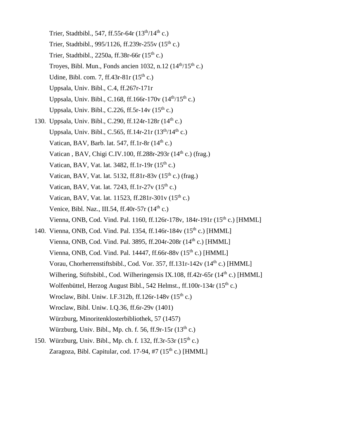- Trier, Stadtbibl., 547, ff.55r-64r  $(13^{th}/14^{th}$  c.) Trier, Stadtbibl., 995/1126, ff.239r-255v (15th c.) Trier, Stadtbibl., 2250a, ff.38r-66r  $(15<sup>th</sup> c.)$ Troyes, Bibl. Mun., Fonds ancien 1032, n.12 (14<sup>th</sup>/15<sup>th</sup> c.) Udine, Bibl. com. 7, ff.43r-81r  $(15<sup>th</sup> c.)$ Uppsala, Univ. Bibl., C.4, ff.267r-171r Uppsala, Univ. Bibl., C.168, ff.166r-170v  $(14<sup>th</sup>/15<sup>th</sup> c.)$ Uppsala, Univ. Bibl., C.226, ff.5r-14v  $(15<sup>th</sup> c.)$
- 130. Uppsala, Univ. Bibl., C.290, ff. 124r-128r  $(14<sup>th</sup> c.)$ Uppsala, Univ. Bibl., C.565, ff.14r-21r  $(13<sup>th</sup>/14<sup>th</sup>)$  c.) Vatican, BAV, Barb. lat. 547, ff. 1  $r$ -8 $r$  (14<sup>th</sup> c.) Vatican, BAV, Chigi C.IV.100, ff.288r-293r  $(14<sup>th</sup> c.)$  (frag.) Vatican, BAV, Vat. lat. 3482, ff.1r-19r  $(15<sup>th</sup> c.)$ Vatican, BAV, Vat. lat. 5132, ff.81r-83y  $(15<sup>th</sup> c.)$  (frag.) Vatican, BAV, Vat. lat. 7243, ff.1r-27 $v(15<sup>th</sup> c.)$ Vatican, BAV, Vat. lat. 11523, ff.281r-301v  $(15^{th} c.)$ Venice, Bibl. Naz., III.54, ff.40r-57r  $(14<sup>th</sup> c.)$ Vienna, ONB, Cod. Vind. Pal. 1160, ff.126r-178v, 184r-191r (15<sup>th</sup> c.) [HMML]
- 140. Vienna, ONB, Cod. Vind. Pal. 1354, ff. 146r-184y (15<sup>th</sup> c.) [HMML] Vienna, ONB, Cod. Vind. Pal. 3895, ff.204r-208r (14<sup>th</sup> c.) [HMML] Vienna, ONB, Cod. Vind. Pal. 14447, ff.66r-88v  $(15<sup>th</sup> c.)$  [HMML] Vorau, Chorherrenstiftsbibl., Cod. Vor. 357, ff.131r-142v (14<sup>th</sup> c.) [HMML] Wilhering, Stiftsbibl., Cod. Wilheringensis IX.108, ff.42r-65r ( $14<sup>th</sup>$  c.) [HMML] Wolfenbüttel, Herzog August Bibl., 542 Helmst., ff.100r-134r (15<sup>th</sup> c.) Wroclaw, Bibl. Uniw. I.F.312b, ff.126r-148y  $(15<sup>th</sup> c.)$ Wroclaw, Bibl. Uniw. I.Q.36, ff.6r-29v (1401) Würzburg, Minoritenklosterbibliothek, 57 (1457) Würzburg, Univ. Bibl., Mp. ch. f. 56, ff.9r-15r  $(13<sup>th</sup> c.)$
- 150. Würzburg, Univ. Bibl., Mp. ch. f. 132, ff.3r-53r (15th c.) Zaragoza, Bibl. Capitular, cod. 17-94, #7 (15<sup>th</sup> c.) [HMML]